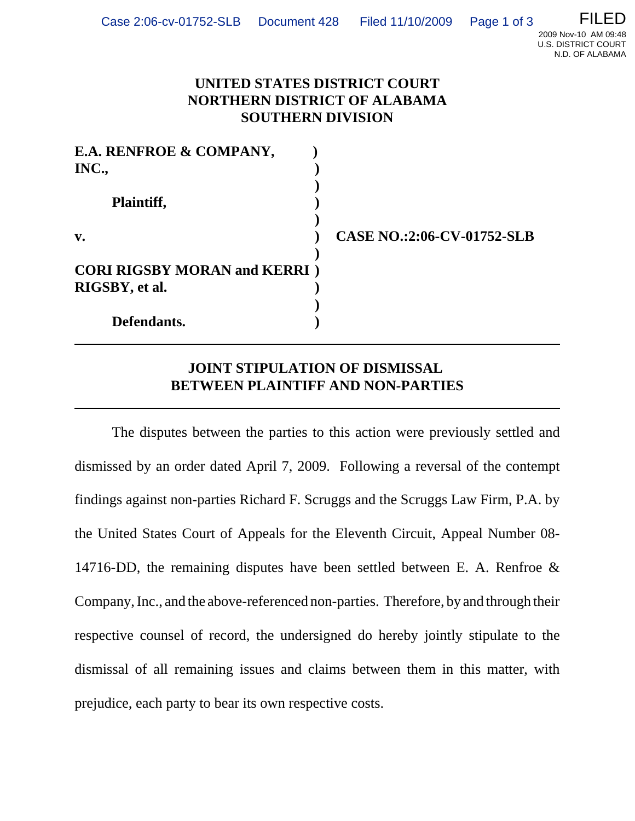## **UNITED STATES DISTRICT COURT NORTHERN DISTRICT OF ALABAMA SOUTHERN DIVISION**

| E.A. RENFROE & COMPANY,                                |                                   |
|--------------------------------------------------------|-----------------------------------|
| INC.,                                                  |                                   |
| Plaintiff,                                             |                                   |
| $\mathbf{v}$ .                                         | <b>CASE NO.:2:06-CV-01752-SLB</b> |
| <b>CORI RIGSBY MORAN and KERRI</b> )<br>RIGSBY, et al. |                                   |
| Defendants.                                            |                                   |

## **JOINT STIPULATION OF DISMISSAL BETWEEN PLAINTIFF AND NON-PARTIES**

The disputes between the parties to this action were previously settled and dismissed by an order dated April 7, 2009. Following a reversal of the contempt findings against non-parties Richard F. Scruggs and the Scruggs Law Firm, P.A. by the United States Court of Appeals for the Eleventh Circuit, Appeal Number 08- 14716-DD, the remaining disputes have been settled between E. A. Renfroe & Company, Inc., and the above-referenced non-parties. Therefore, by and through their respective counsel of record, the undersigned do hereby jointly stipulate to the dismissal of all remaining issues and claims between them in this matter, with prejudice, each party to bear its own respective costs.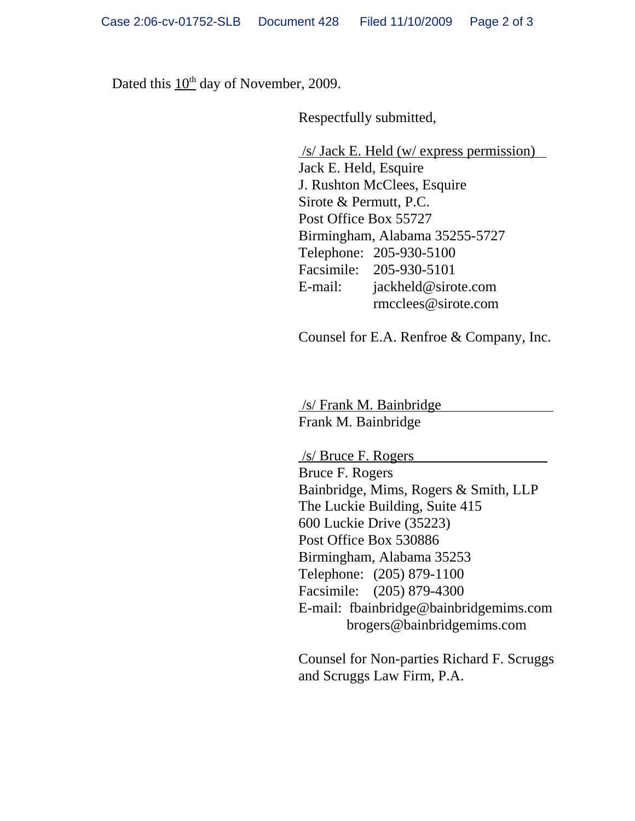Dated this  $10^{th}$  day of November, 2009.

Respectfully submitted,

 /s/ Jack E. Held (w/ express permission) Jack E. Held, Esquire J. Rushton McClees, Esquire Sirote & Permutt, P.C. Post Office Box 55727 Birmingham, Alabama 35255-5727 Telephone: 205-930-5100 Facsimile: 205-930-5101 E-mail: jackheld@sirote.com rmcclees@sirote.com

Counsel for E.A. Renfroe & Company, Inc.

 /s/ Frank M. Bainbridge Frank M. Bainbridge

 /s/ Bruce F. Rogers Bruce F. Rogers Bainbridge, Mims, Rogers & Smith, LLP The Luckie Building, Suite 415 600 Luckie Drive (35223) Post Office Box 530886 Birmingham, Alabama 35253 Telephone: (205) 879-1100 Facsimile: (205) 879-4300 E-mail: fbainbridge@bainbridgemims.com brogers@bainbridgemims.com

Counsel for Non-parties Richard F. Scruggs and Scruggs Law Firm, P.A.